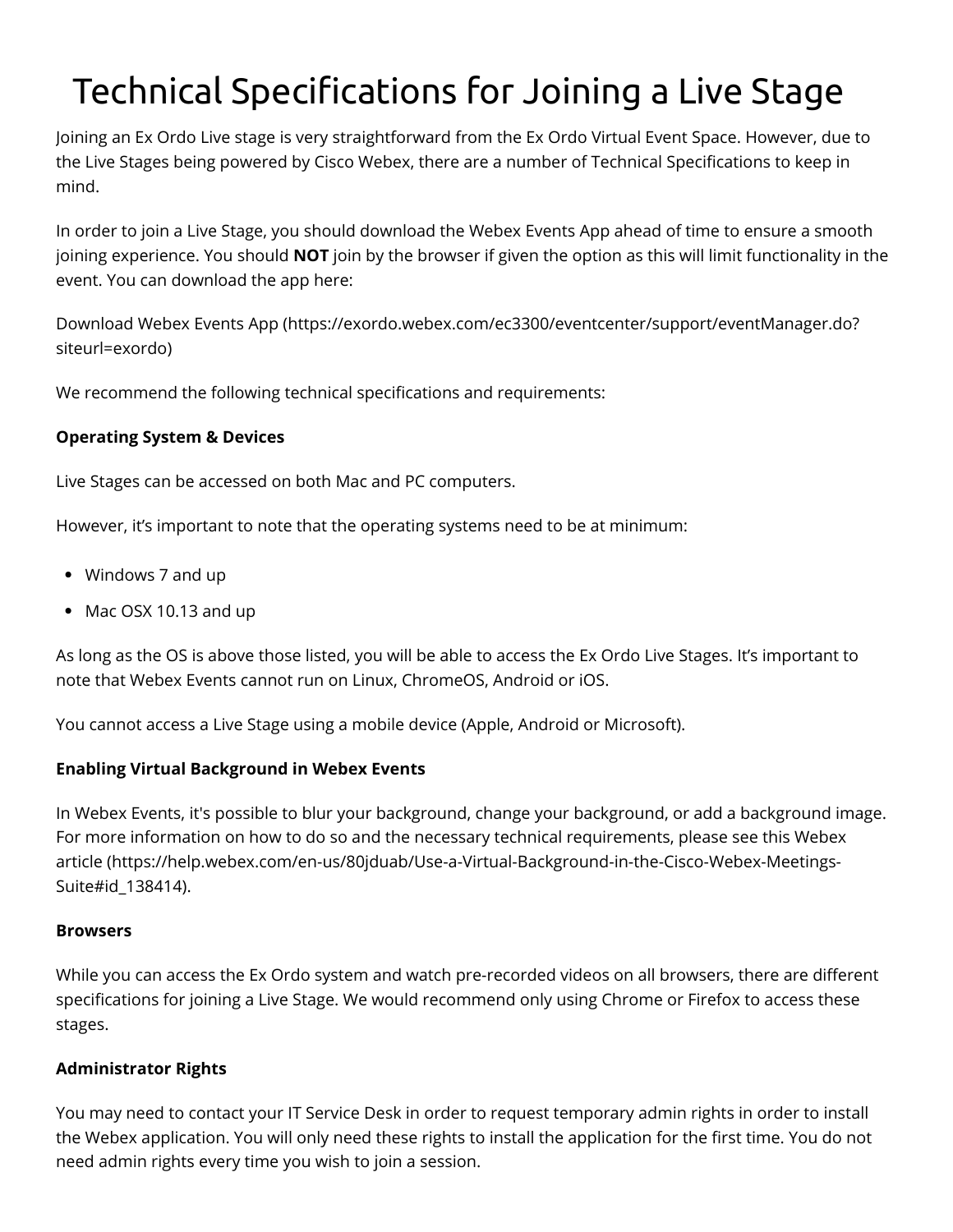# Technical Specifications for Joining a Live Stage

Joining an Ex Ordo Live stage is very straightforward from the Ex Ordo Virtual Event Space. However, due to the Live Stages being powered by Cisco Webex, there are a number of Technical Specifications to keep in mind.

In order to join a Live Stage, you should download the Webex Events App ahead of time to ensure a smooth joining experience. You should **NOT** join by the browser if given the option as this will limit functionality in the event. You can download the app here:

[Download Webex Events App \(https://exordo.webex.com/ec3300/eventcenter/support/eventManager.do?](https://exordo.webex.com/ec3300/eventcenter/support/eventManager.do?siteurl=exordo) siteurl=exordo)

We recommend the following technical specifications and requirements:

## **Operating System & Devices**

Live Stages can be accessed on both Mac and PC computers.

However, it's important to note that the operating systems need to be at minimum:

- Windows 7 and up
- Mac OSX 10.13 and up

As long as the OS is above those listed, you will be able to access the Ex Ordo Live Stages. It's important to note that Webex Events cannot run on Linux, ChromeOS, Android or iOS.

You cannot access a Live Stage using a mobile device (Apple, Android or Microsoft).

# **Enabling Virtual Background in Webex Events**

In Webex Events, it's possible to blur your background, change your background, or add a background image. For more information on how to do so and the necessary technical requirements, please see this Webex [article \(https://help.webex.com/en-us/80jduab/Use-a-Virtual-Background-in-the-Cisco-Webex-Meetings-](https://help.webex.com/en-us/80jduab/Use-a-Virtual-Background-in-the-Cisco-Webex-Meetings-Suite#id_138414)Suite#id\_138414).

#### **Browsers**

While you can access the Ex Ordo system and watch pre-recorded videos on all browsers, there are different specifications for joining a Live Stage. We would recommend only using Chrome or Firefox to access these stages.

## **Administrator Rights**

You may need to contact your IT Service Desk in order to request temporary admin rights in order to install the Webex application. You will only need these rights to install the application for the first time. You do not need admin rights every time you wish to join a session.